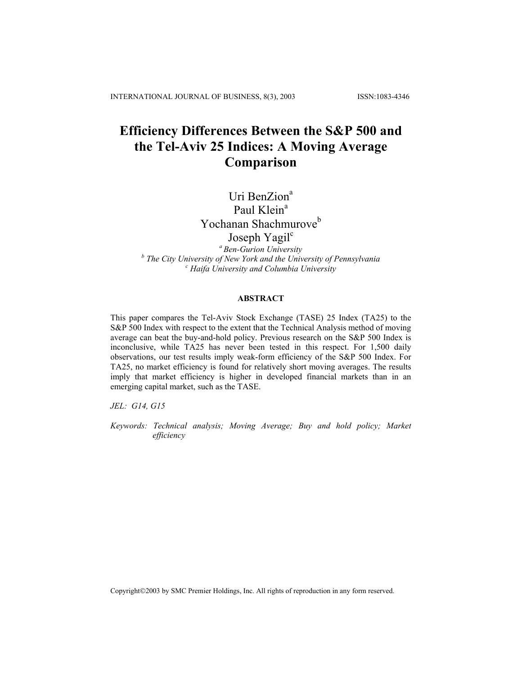# **Efficiency Differences Between the S&P 500 and the Tel-Aviv 25 Indices: A Moving Average Comparison**

# Uri BenZion<sup>a</sup>

# Paul Klein<sup>a</sup>

# Yochanan Shachmurove<sup>b</sup>

# Joseph Yagil<sup>c</sup>

*a Ben-Gurion University* <sup>*b*</sup> The City University of New York and the University of Pennsylvania <sup>c</sup> Haife University and Columbia University  *Haifa University and Columbia University*

# **ABSTRACT**

This paper compares the Tel-Aviv Stock Exchange (TASE) 25 Index (TA25) to the S&P 500 Index with respect to the extent that the Technical Analysis method of moving average can beat the buy-and-hold policy. Previous research on the S&P 500 Index is inconclusive, while TA25 has never been tested in this respect. For 1,500 daily observations, our test results imply weak-form efficiency of the S&P 500 Index. For TA25, no market efficiency is found for relatively short moving averages. The results imply that market efficiency is higher in developed financial markets than in an emerging capital market, such as the TASE.

*JEL: G14, G15* 

*Keywords: Technical analysis; Moving Average; Buy and hold policy; Market efficiency*

Copyright©2003 by SMC Premier Holdings, Inc. All rights of reproduction in any form reserved.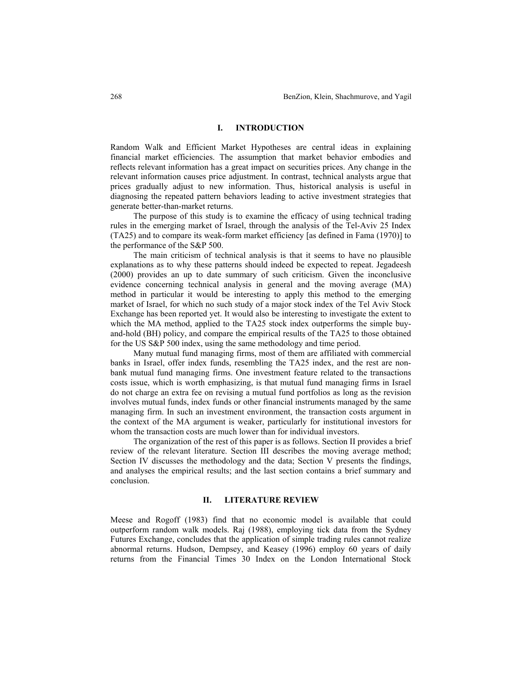# **I. INTRODUCTION**

Random Walk and Efficient Market Hypotheses are central ideas in explaining financial market efficiencies. The assumption that market behavior embodies and reflects relevant information has a great impact on securities prices. Any change in the relevant information causes price adjustment. In contrast, technical analysts argue that prices gradually adjust to new information. Thus, historical analysis is useful in diagnosing the repeated pattern behaviors leading to active investment strategies that generate better-than-market returns.

The purpose of this study is to examine the efficacy of using technical trading rules in the emerging market of Israel, through the analysis of the Tel-Aviv 25 Index (TA25) and to compare its weak-form market efficiency [as defined in Fama (1970)] to the performance of the S&P 500.

The main criticism of technical analysis is that it seems to have no plausible explanations as to why these patterns should indeed be expected to repeat. Jegadeesh (2000) provides an up to date summary of such criticism. Given the inconclusive evidence concerning technical analysis in general and the moving average (MA) method in particular it would be interesting to apply this method to the emerging market of Israel, for which no such study of a major stock index of the Tel Aviv Stock Exchange has been reported yet. It would also be interesting to investigate the extent to which the MA method, applied to the TA25 stock index outperforms the simple buyand-hold (BH) policy, and compare the empirical results of the TA25 to those obtained for the US S&P 500 index, using the same methodology and time period.

Many mutual fund managing firms, most of them are affiliated with commercial banks in Israel, offer index funds, resembling the TA25 index, and the rest are nonbank mutual fund managing firms. One investment feature related to the transactions costs issue, which is worth emphasizing, is that mutual fund managing firms in Israel do not charge an extra fee on revising a mutual fund portfolios as long as the revision involves mutual funds, index funds or other financial instruments managed by the same managing firm. In such an investment environment, the transaction costs argument in the context of the MA argument is weaker, particularly for institutional investors for whom the transaction costs are much lower than for individual investors.

The organization of the rest of this paper is as follows. Section II provides a brief review of the relevant literature. Section III describes the moving average method; Section IV discusses the methodology and the data; Section V presents the findings, and analyses the empirical results; and the last section contains a brief summary and conclusion.

#### **II. LITERATURE REVIEW**

Meese and Rogoff (1983) find that no economic model is available that could outperform random walk models. Raj (1988), employing tick data from the Sydney Futures Exchange, concludes that the application of simple trading rules cannot realize abnormal returns. Hudson, Dempsey, and Keasey (1996) employ 60 years of daily returns from the Financial Times 30 Index on the London International Stock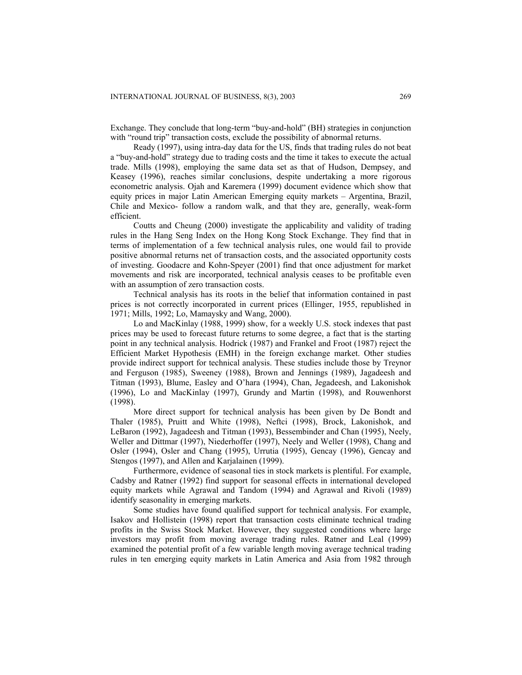Exchange. They conclude that long-term "buy-and-hold" (BH) strategies in conjunction with "round trip" transaction costs, exclude the possibility of abnormal returns.

Ready (1997), using intra-day data for the US, finds that trading rules do not beat a "buy-and-hold" strategy due to trading costs and the time it takes to execute the actual trade. Mills (1998), employing the same data set as that of Hudson, Dempsey, and Keasey (1996), reaches similar conclusions, despite undertaking a more rigorous econometric analysis. Ojah and Karemera (1999) document evidence which show that equity prices in major Latin American Emerging equity markets – Argentina, Brazil, Chile and Mexico- follow a random walk, and that they are, generally, weak-form efficient.

Coutts and Cheung (2000) investigate the applicability and validity of trading rules in the Hang Seng Index on the Hong Kong Stock Exchange. They find that in terms of implementation of a few technical analysis rules, one would fail to provide positive abnormal returns net of transaction costs, and the associated opportunity costs of investing. Goodacre and Kohn-Speyer (2001) find that once adjustment for market movements and risk are incorporated, technical analysis ceases to be profitable even with an assumption of zero transaction costs.

Technical analysis has its roots in the belief that information contained in past prices is not correctly incorporated in current prices (Ellinger, 1955, republished in 1971; Mills, 1992; Lo, Mamaysky and Wang, 2000).

Lo and MacKinlay (1988, 1999) show, for a weekly U.S. stock indexes that past prices may be used to forecast future returns to some degree, a fact that is the starting point in any technical analysis. Hodrick (1987) and Frankel and Froot (1987) reject the Efficient Market Hypothesis (EMH) in the foreign exchange market. Other studies provide indirect support for technical analysis. These studies include those by Treynor and Ferguson (1985), Sweeney (1988), Brown and Jennings (1989), Jagadeesh and Titman (1993), Blume, Easley and O'hara (1994), Chan, Jegadeesh, and Lakonishok (1996), Lo and MacKinlay (1997), Grundy and Martin (1998), and Rouwenhorst (1998).

More direct support for technical analysis has been given by De Bondt and Thaler (1985), Pruitt and White (1998), Neftci (1998), Brock, Lakonishok, and LeBaron (1992), Jagadeesh and Titman (1993), Bessembinder and Chan (1995), Neely, Weller and Dittmar (1997), Niederhoffer (1997), Neely and Weller (1998), Chang and Osler (1994), Osler and Chang (1995), Urrutia (1995), Gencay (1996), Gencay and Stengos (1997), and Allen and Karjalainen (1999).

Furthermore, evidence of seasonal ties in stock markets is plentiful. For example, Cadsby and Ratner (1992) find support for seasonal effects in international developed equity markets while Agrawal and Tandom (1994) and Agrawal and Rivoli (1989) identify seasonality in emerging markets.

Some studies have found qualified support for technical analysis. For example, Isakov and Hollistein (1998) report that transaction costs eliminate technical trading profits in the Swiss Stock Market. However, they suggested conditions where large investors may profit from moving average trading rules. Ratner and Leal (1999) examined the potential profit of a few variable length moving average technical trading rules in ten emerging equity markets in Latin America and Asia from 1982 through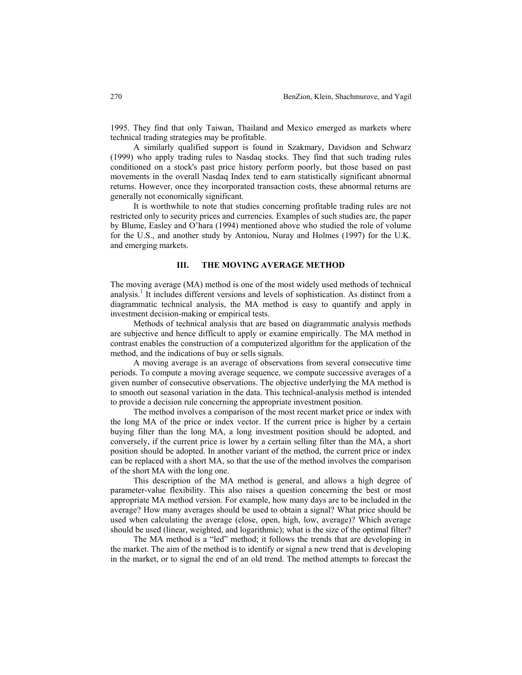1995. They find that only Taiwan, Thailand and Mexico emerged as markets where technical trading strategies may be profitable.

A similarly qualified support is found in Szakmary, Davidson and Schwarz (1999) who apply trading rules to Nasdaq stocks. They find that such trading rules conditioned on a stock's past price history perform poorly, but those based on past movements in the overall Nasdaq Index tend to earn statistically significant abnormal returns. However, once they incorporated transaction costs, these abnormal returns are generally not economically significant.

It is worthwhile to note that studies concerning profitable trading rules are not restricted only to security prices and currencies. Examples of such studies are, the paper by Blume, Easley and O'hara (1994) mentioned above who studied the role of volume for the U.S., and another study by Antoniou, Nuray and Holmes (1997) for the U.K. and emerging markets.

#### **III. THE MOVING AVERAGE METHOD**

The moving average (MA) method is one of the most widely used methods of technical analysis.<sup>1</sup> It includes different versions and levels of sophistication. As distinct from a diagrammatic technical analysis, the MA method is easy to quantify and apply in investment decision-making or empirical tests.

Methods of technical analysis that are based on diagrammatic analysis methods are subjective and hence difficult to apply or examine empirically. The MA method in contrast enables the construction of a computerized algorithm for the application of the method, and the indications of buy or sells signals.

A moving average is an average of observations from several consecutive time periods. To compute a moving average sequence, we compute successive averages of a given number of consecutive observations. The objective underlying the MA method is to smooth out seasonal variation in the data. This technical-analysis method is intended to provide a decision rule concerning the appropriate investment position.

The method involves a comparison of the most recent market price or index with the long MA of the price or index vector. If the current price is higher by a certain buying filter than the long MA, a long investment position should be adopted, and conversely, if the current price is lower by a certain selling filter than the MA, a short position should be adopted. In another variant of the method, the current price or index can be replaced with a short MA, so that the use of the method involves the comparison of the short MA with the long one.

This description of the MA method is general, and allows a high degree of parameter-value flexibility. This also raises a question concerning the best or most appropriate MA method version. For example, how many days are to be included in the average? How many averages should be used to obtain a signal? What price should be used when calculating the average (close, open, high, low, average)? Which average should be used (linear, weighted, and logarithmic); what is the size of the optimal filter?

The MA method is a "led" method; it follows the trends that are developing in the market. The aim of the method is to identify or signal a new trend that is developing in the market, or to signal the end of an old trend. The method attempts to forecast the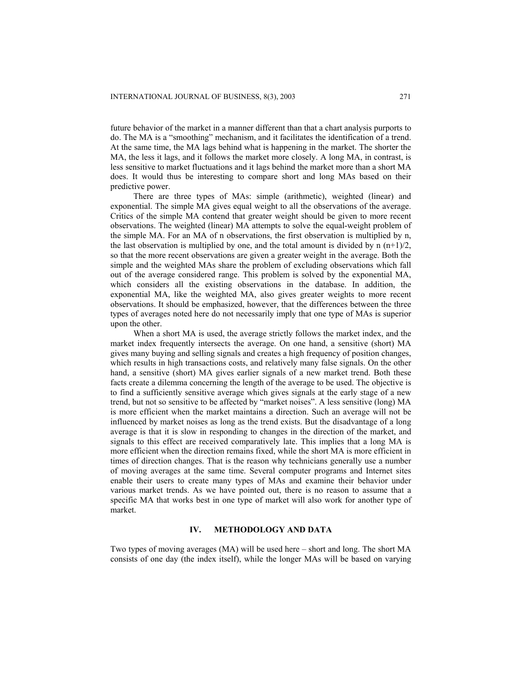future behavior of the market in a manner different than that a chart analysis purports to do. The MA is a "smoothing" mechanism, and it facilitates the identification of a trend. At the same time, the MA lags behind what is happening in the market. The shorter the MA, the less it lags, and it follows the market more closely. A long MA, in contrast, is less sensitive to market fluctuations and it lags behind the market more than a short MA does. It would thus be interesting to compare short and long MAs based on their predictive power.

There are three types of MAs: simple (arithmetic), weighted (linear) and exponential. The simple MA gives equal weight to all the observations of the average. Critics of the simple MA contend that greater weight should be given to more recent observations. The weighted (linear) MA attempts to solve the equal-weight problem of the simple MA. For an MA of n observations, the first observation is multiplied by n, the last observation is multiplied by one, and the total amount is divided by n  $(n+1)/2$ , so that the more recent observations are given a greater weight in the average. Both the simple and the weighted MAs share the problem of excluding observations which fall out of the average considered range. This problem is solved by the exponential MA, which considers all the existing observations in the database. In addition, the exponential MA, like the weighted MA, also gives greater weights to more recent observations. It should be emphasized, however, that the differences between the three types of averages noted here do not necessarily imply that one type of MAs is superior upon the other.

When a short MA is used, the average strictly follows the market index, and the market index frequently intersects the average. On one hand, a sensitive (short) MA gives many buying and selling signals and creates a high frequency of position changes, which results in high transactions costs, and relatively many false signals. On the other hand, a sensitive (short) MA gives earlier signals of a new market trend. Both these facts create a dilemma concerning the length of the average to be used. The objective is to find a sufficiently sensitive average which gives signals at the early stage of a new trend, but not so sensitive to be affected by "market noises". A less sensitive (long) MA is more efficient when the market maintains a direction. Such an average will not be influenced by market noises as long as the trend exists. But the disadvantage of a long average is that it is slow in responding to changes in the direction of the market, and signals to this effect are received comparatively late. This implies that a long MA is more efficient when the direction remains fixed, while the short MA is more efficient in times of direction changes. That is the reason why technicians generally use a number of moving averages at the same time. Several computer programs and Internet sites enable their users to create many types of MAs and examine their behavior under various market trends. As we have pointed out, there is no reason to assume that a specific MA that works best in one type of market will also work for another type of market.

# **IV. METHODOLOGY AND DATA**

Two types of moving averages (MA) will be used here – short and long. The short MA consists of one day (the index itself), while the longer MAs will be based on varying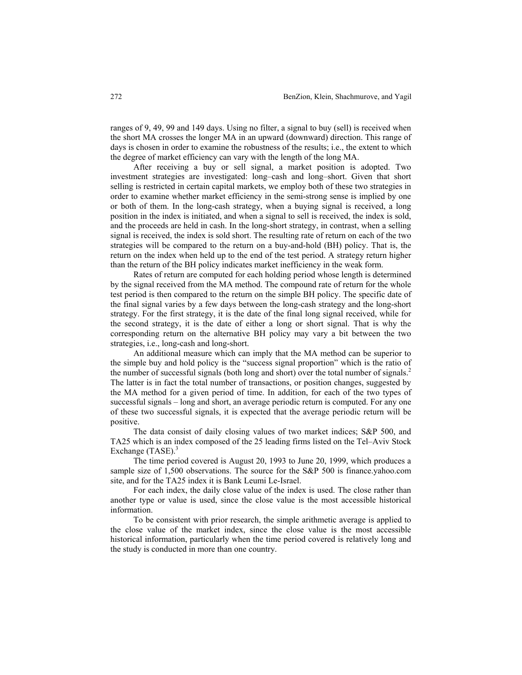ranges of 9, 49, 99 and 149 days. Using no filter, a signal to buy (sell) is received when the short MA crosses the longer MA in an upward (downward) direction. This range of days is chosen in order to examine the robustness of the results; i.e., the extent to which the degree of market efficiency can vary with the length of the long MA.

After receiving a buy or sell signal, a market position is adopted. Two investment strategies are investigated: long–cash and long–short. Given that short selling is restricted in certain capital markets, we employ both of these two strategies in order to examine whether market efficiency in the semi-strong sense is implied by one or both of them. In the long-cash strategy, when a buying signal is received, a long position in the index is initiated, and when a signal to sell is received, the index is sold, and the proceeds are held in cash. In the long-short strategy, in contrast, when a selling signal is received, the index is sold short. The resulting rate of return on each of the two strategies will be compared to the return on a buy-and-hold (BH) policy. That is, the return on the index when held up to the end of the test period. A strategy return higher than the return of the BH policy indicates market inefficiency in the weak form.

Rates of return are computed for each holding period whose length is determined by the signal received from the MA method. The compound rate of return for the whole test period is then compared to the return on the simple BH policy. The specific date of the final signal varies by a few days between the long-cash strategy and the long-short strategy. For the first strategy, it is the date of the final long signal received, while for the second strategy, it is the date of either a long or short signal. That is why the corresponding return on the alternative BH policy may vary a bit between the two strategies, i.e., long-cash and long-short.

An additional measure which can imply that the MA method can be superior to the simple buy and hold policy is the "success signal proportion" which is the ratio of the number of successful signals (both long and short) over the total number of signals.<sup>2</sup> The latter is in fact the total number of transactions, or position changes, suggested by the MA method for a given period of time. In addition, for each of the two types of successful signals – long and short, an average periodic return is computed. For any one of these two successful signals, it is expected that the average periodic return will be positive.

The data consist of daily closing values of two market indices; S&P 500, and TA25 which is an index composed of the 25 leading firms listed on the Tel–Aviv Stock Exchange  $(TASE)^3$ 

The time period covered is August 20, 1993 to June 20, 1999, which produces a sample size of 1,500 observations. The source for the S&P 500 is finance.yahoo.com site, and for the TA25 index it is Bank Leumi Le-Israel.

For each index, the daily close value of the index is used. The close rather than another type or value is used, since the close value is the most accessible historical information.

To be consistent with prior research, the simple arithmetic average is applied to the close value of the market index, since the close value is the most accessible historical information, particularly when the time period covered is relatively long and the study is conducted in more than one country.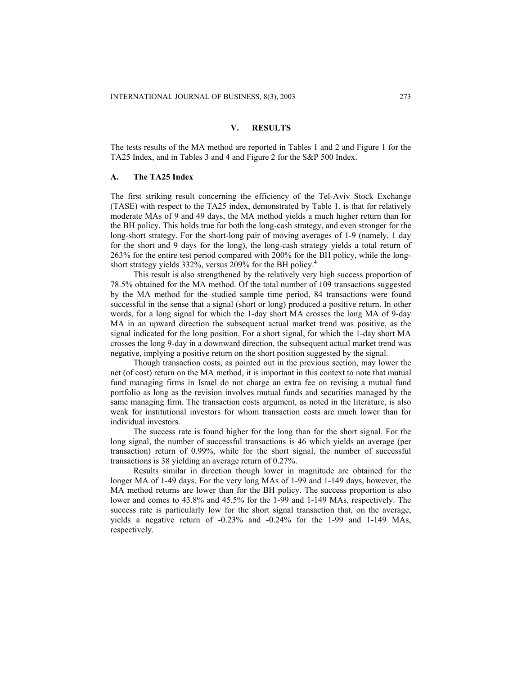#### **V. RESULTS**

The tests results of the MA method are reported in Tables 1 and 2 and Figure 1 for the TA25 Index, and in Tables 3 and 4 and Figure 2 for the S&P 500 Index.

#### **A. The TA25 Index**

The first striking result concerning the efficiency of the Tel-Aviv Stock Exchange (TASE) with respect to the TA25 index, demonstrated by Table 1, is that for relatively moderate MAs of 9 and 49 days, the MA method yields a much higher return than for the BH policy. This holds true for both the long-cash strategy, and even stronger for the long-short strategy. For the short-long pair of moving averages of 1-9 (namely, 1 day for the short and 9 days for the long), the long-cash strategy yields a total return of 263% for the entire test period compared with 200% for the BH policy, while the longshort strategy yields 332%, versus 209% for the BH policy.<sup>4</sup>

This result is also strengthened by the relatively very high success proportion of 78.5% obtained for the MA method. Of the total number of 109 transactions suggested by the MA method for the studied sample time period, 84 transactions were found successful in the sense that a signal (short or long) produced a positive return. In other words, for a long signal for which the 1-day short MA crosses the long MA of 9-day MA in an upward direction the subsequent actual market trend was positive, as the signal indicated for the long position. For a short signal, for which the 1-day short MA crosses the long 9-day in a downward direction, the subsequent actual market trend was negative, implying a positive return on the short position suggested by the signal.

Though transaction costs, as pointed out in the previous section, may lower the net (of cost) return on the MA method, it is important in this context to note that mutual fund managing firms in Israel do not charge an extra fee on revising a mutual fund portfolio as long as the revision involves mutual funds and securities managed by the same managing firm. The transaction costs argument, as noted in the literature, is also weak for institutional investors for whom transaction costs are much lower than for individual investors.

The success rate is found higher for the long than for the short signal. For the long signal, the number of successful transactions is 46 which yields an average (per transaction) return of 0.99%, while for the short signal, the number of successful transactions is 38 yielding an average return of 0.27%.

Results similar in direction though lower in magnitude are obtained for the longer MA of 1-49 days. For the very long MAs of 1-99 and 1-149 days, however, the MA method returns are lower than for the BH policy. The success proportion is also lower and comes to 43.8% and 45.5% for the 1-99 and 1-149 MAs, respectively. The success rate is particularly low for the short signal transaction that, on the average, yields a negative return of -0.23% and -0.24% for the 1-99 and 1-149 MAs, respectively.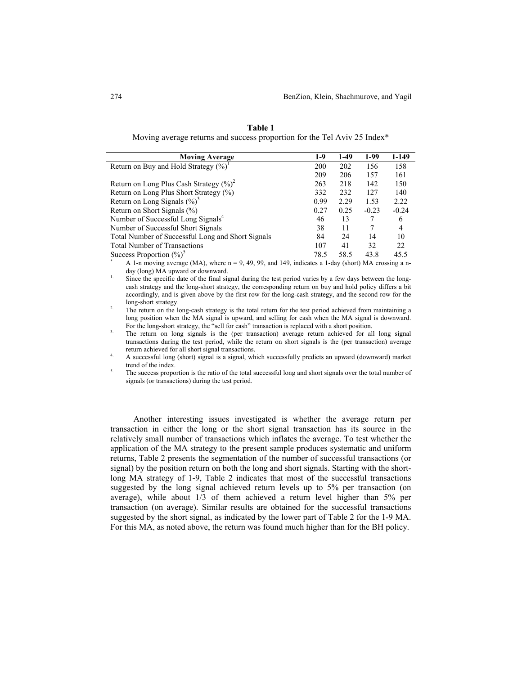| <b>Moving Average</b>                                                                                  | $1-9$ | $1-49$ | 1-99    | 1-149   |
|--------------------------------------------------------------------------------------------------------|-------|--------|---------|---------|
| Return on Buy and Hold Strategy $(\%)^1$                                                               | 200   | 202    | 156     | 158     |
|                                                                                                        | 209   | 206    | 157     | 161     |
| Return on Long Plus Cash Strategy $(\%)^2$                                                             | 263   | 218    | 142     | 150     |
| Return on Long Plus Short Strategy (%)                                                                 | 332   | 232    | 127     | 140     |
| Return on Long Signals $(\frac{9}{0})^3$                                                               | 0.99  | 2.29   | 1.53    | 2.22    |
| Return on Short Signals (%)                                                                            | 0.27  | 0.25   | $-0.23$ | $-0.24$ |
| Number of Successful Long Signals <sup>4</sup>                                                         | 46    | 13     |         | 6       |
| Number of Successful Short Signals                                                                     | 38    | 11     | 7       | 4       |
| Total Number of Successful Long and Short Signals                                                      | 84    | 24     | 14      | 10      |
| <b>Total Number of Transactions</b>                                                                    | 107   | 41     | 32      | 22      |
| Success Proportion $(\%)^5$                                                                            | 78.5  | 58.5   | 43.8    | 45.5    |
| A 1-n moving average (MA), where $n = 9, 49, 99$ , and 149, indicates a 1-day (short) MA crossing a n- |       |        |         |         |

**Table 1**  Moving average returns and success proportion for the Tel Aviv 25 Index\*

day (long) MA upward or downward.<br>Since the specific date of the final signal during the test period varies by a few days between the long-

cash strategy and the long-short strategy, the corresponding return on buy and hold policy differs a bit accordingly, and is given above by the first row for the long-cash strategy, and the second row for the

long-short strategy. 2. The return on the long-cash strategy is the total return for the test period achieved from maintaining a long position when the MA signal is upward, and selling for cash when the MA signal is downward.

For the long-short strategy, the "sell for cash" transaction is replaced with a short position.<br>The return on long signals is the (per transaction) average return achieved for all long signal transactions during the test period, while the return on short signals is the (per transaction) average

return achieved for all short signal transactions.<br>4. A successful long (short) signal is a signal, which successfully predicts an upward (downward) market

trend of the index.<br>The success proportion is the ratio of the total successful long and short signals over the total number of signals (or transactions) during the test period.

Another interesting issues investigated is whether the average return per transaction in either the long or the short signal transaction has its source in the relatively small number of transactions which inflates the average. To test whether the application of the MA strategy to the present sample produces systematic and uniform returns, Table 2 presents the segmentation of the number of successful transactions (or signal) by the position return on both the long and short signals. Starting with the shortlong MA strategy of 1-9, Table 2 indicates that most of the successful transactions suggested by the long signal achieved return levels up to 5% per transaction (on average), while about 1/3 of them achieved a return level higher than 5% per transaction (on average). Similar results are obtained for the successful transactions suggested by the short signal, as indicated by the lower part of Table 2 for the 1-9 MA. For this MA, as noted above, the return was found much higher than for the BH policy.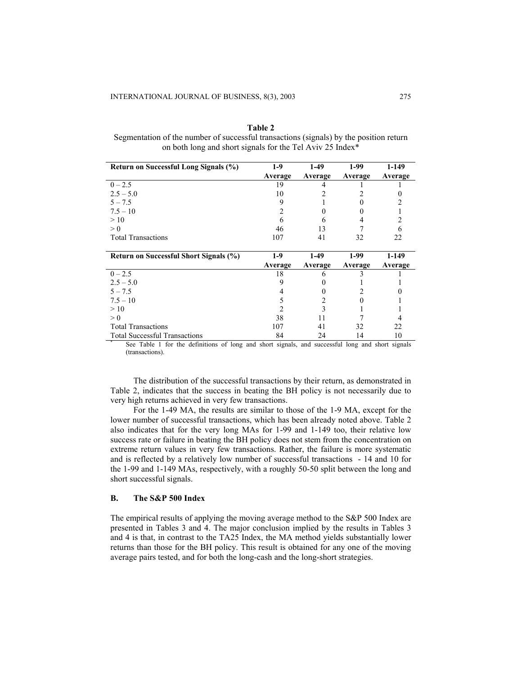**Table 2** Segmentation of the number of successful transactions (signals) by the position return on both long and short signals for the Tel Aviv 25 Index\*

| Return on Successful Long Signals (%)  | $1-9$   | $1-49$  | 1-99    | 1-149   |
|----------------------------------------|---------|---------|---------|---------|
|                                        | Average | Average | Average | Average |
| $0 - 2.5$                              | 19      |         |         |         |
| $2.5 - 5.0$                            | 10      |         |         |         |
| $5 - 7.5$                              | 9       |         |         |         |
| $7.5 - 10$                             | 2       |         |         |         |
| >10                                    | 6       | 6       | 4       |         |
| > 0                                    | 46      | 13      |         | h       |
| <b>Total Transactions</b>              | 107     | 41      | 32      | 22      |
|                                        |         |         |         |         |
|                                        |         |         |         |         |
| Return on Successful Short Signals (%) | $1-9$   | $1-49$  | $1-99$  | $1-149$ |
|                                        | Average | Average | Average | Average |
| $0 - 2.5$                              | 18      | h       |         |         |
| $2.5 - 5.0$                            | 9       |         |         |         |
| $5 - 7.5$                              |         |         |         |         |
| $7.5 - 10$                             | 5       |         |         |         |
| >10                                    |         | 3       |         |         |
| > 0                                    | 38      | 11      |         |         |
| <b>Total Transactions</b>              | 107     | 41      | 32      | 22      |

See Table 1 for the definitions of long and short signals, and successful long and short signals (transactions).

The distribution of the successful transactions by their return, as demonstrated in Table 2, indicates that the success in beating the BH policy is not necessarily due to very high returns achieved in very few transactions.

For the 1-49 MA, the results are similar to those of the 1-9 MA, except for the lower number of successful transactions, which has been already noted above. Table 2 also indicates that for the very long MAs for 1-99 and 1-149 too, their relative low success rate or failure in beating the BH policy does not stem from the concentration on extreme return values in very few transactions. Rather, the failure is more systematic and is reflected by a relatively low number of successful transactions - 14 and 10 for the 1-99 and 1-149 MAs, respectively, with a roughly 50-50 split between the long and short successful signals.

# **B. The S&P 500 Index**

The empirical results of applying the moving average method to the S&P 500 Index are presented in Tables 3 and 4. The major conclusion implied by the results in Tables 3 and 4 is that, in contrast to the TA25 Index, the MA method yields substantially lower returns than those for the BH policy. This result is obtained for any one of the moving average pairs tested, and for both the long-cash and the long-short strategies.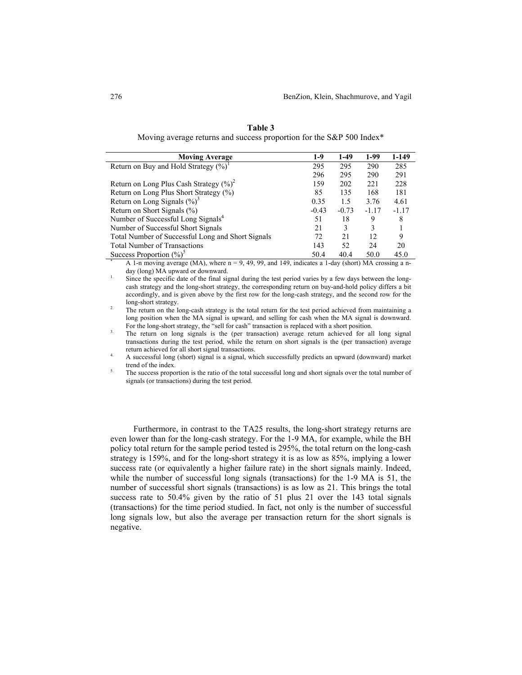| <b>Moving Average</b>                                                                                  | $1-9$   | $1-49$  | 1-99    | 1-149   |
|--------------------------------------------------------------------------------------------------------|---------|---------|---------|---------|
| Return on Buy and Hold Strategy $(\%)^1$                                                               | 295     | 295     | 290     | 285     |
|                                                                                                        | 296     | 295     | 290     | 291     |
| Return on Long Plus Cash Strategy $(\%)^2$                                                             | 159     | 202     | 221     | 228     |
| Return on Long Plus Short Strategy (%)                                                                 | 85      | 135     | 168     | 181     |
| Return on Long Signals $(\frac{9}{0})^3$                                                               | 0.35    | 1.5     | 3.76    | 4.61    |
| Return on Short Signals (%)                                                                            | $-0.43$ | $-0.73$ | $-1.17$ | $-1.17$ |
| Number of Successful Long Signals <sup>4</sup>                                                         | 51      | 18      | 9       | 8       |
| Number of Successful Short Signals                                                                     | 21      | 3       | 3       |         |
| Total Number of Successful Long and Short Signals                                                      | 72      | 21      | 12      | 9       |
| <b>Total Number of Transactions</b>                                                                    | 143     | 52      | 24      | 20      |
| Success Proportion $(\%)^5$                                                                            | 50.4    | 40.4    | 50.0    | 45.0    |
| A 1-n moving average (MA), where $n = 9, 49, 99$ , and 149, indicates a 1-day (short) MA crossing a n- |         |         |         |         |

**Table 3**  Moving average returns and success proportion for the S&P 500 Index\*

day (long) MA upward or downward.<br><sup>1.</sup> Since the specific date of the final signal during the test period varies by a few days between the long-

cash strategy and the long-short strategy, the corresponding return on buy-and-hold policy differs a bit accordingly, and is given above by the first row for the long-cash strategy, and the second row for the

long-short strategy. 2. The return on the long-cash strategy is the total return for the test period achieved from maintaining a long position when the MA signal is upward, and selling for cash when the MA signal is downward. For the long-short strategy, the "sell for cash" transaction is replaced with a short position.

<sup>3.</sup> The return on long signals is the (per transaction) average return achieved for all long signal transactions during the test period, while the return on short signals is the (per transaction) average return achieved for all short signal transactions.

4. A successful long (short) signal is a signal, which successfully predicts an upward (downward) market

trend of the index.<br>The success proportion is the ratio of the total successful long and short signals over the total number of signals (or transactions) during the test period.

Furthermore, in contrast to the TA25 results, the long-short strategy returns are even lower than for the long-cash strategy. For the 1-9 MA, for example, while the BH policy total return for the sample period tested is 295%, the total return on the long-cash strategy is 159%, and for the long-short strategy it is as low as 85%, implying a lower success rate (or equivalently a higher failure rate) in the short signals mainly. Indeed, while the number of successful long signals (transactions) for the 1-9 MA is 51, the number of successful short signals (transactions) is as low as 21. This brings the total success rate to 50.4% given by the ratio of 51 plus 21 over the 143 total signals (transactions) for the time period studied. In fact, not only is the number of successful long signals low, but also the average per transaction return for the short signals is negative.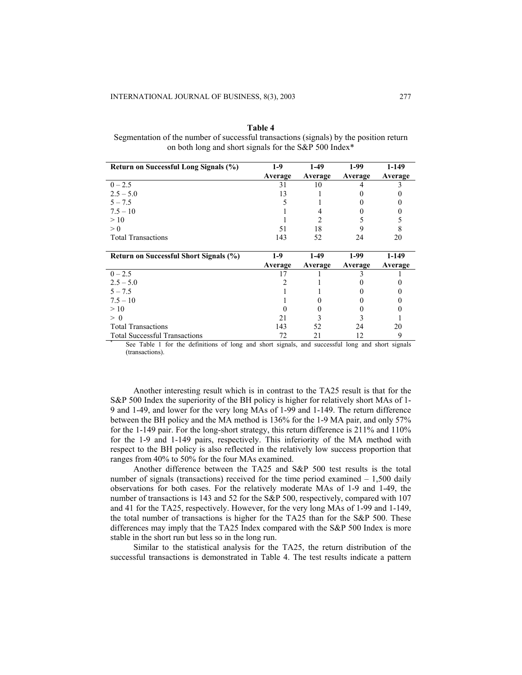| п<br>п<br>н |  |
|-------------|--|
|-------------|--|

Segmentation of the number of successful transactions (signals) by the position return on both long and short signals for the S&P 500 Index\*

| Return on Successful Long Signals (%)  | $1-9$   | $1-49$  | 1-99    | 1-149   |
|----------------------------------------|---------|---------|---------|---------|
|                                        | Average | Average | Average | Average |
| $0 - 2.5$                              | 31      | 10      |         |         |
| $2.5 - 5.0$                            | 13      |         |         |         |
| $5 - 7.5$                              |         |         |         |         |
| $7.5 - 10$                             |         |         |         |         |
| >10                                    |         |         |         |         |
| > 0                                    | 51      | 18      |         |         |
| <b>Total Transactions</b>              | 143     | 52      | 24      | 20      |
|                                        |         |         |         |         |
|                                        |         |         |         |         |
| Return on Successful Short Signals (%) | 1-9     | $1-49$  | $1-99$  | 1-149   |
|                                        | Average | Average | Average | Average |
| $0 - 2.5$                              |         |         |         |         |
| $2.5 - 5.0$                            |         |         |         |         |
| $5 - 7.5$                              |         |         |         |         |
| $7.5 - 10$                             |         |         |         |         |
| >10                                    |         |         |         |         |
| $\geq 0$                               | 21      |         |         |         |
| <b>Total Transactions</b>              | 143     | 52      | 24      | 20      |

See Table 1 for the definitions of long and short signals, and successful long and short signals (transactions).

Another interesting result which is in contrast to the TA25 result is that for the S&P 500 Index the superiority of the BH policy is higher for relatively short MAs of 1- 9 and 1-49, and lower for the very long MAs of 1-99 and 1-149. The return difference between the BH policy and the MA method is 136% for the 1-9 MA pair, and only 57% for the 1-149 pair. For the long-short strategy, this return difference is 211% and 110% for the 1-9 and 1-149 pairs, respectively. This inferiority of the MA method with respect to the BH policy is also reflected in the relatively low success proportion that ranges from 40% to 50% for the four MAs examined.

Another difference between the TA25 and S&P 500 test results is the total number of signals (transactions) received for the time period examined  $-1,500$  daily observations for both cases. For the relatively moderate MAs of 1-9 and 1-49, the number of transactions is 143 and 52 for the S&P 500, respectively, compared with 107 and 41 for the TA25, respectively. However, for the very long MAs of 1-99 and 1-149, the total number of transactions is higher for the TA25 than for the S&P 500. These differences may imply that the TA25 Index compared with the S&P 500 Index is more stable in the short run but less so in the long run.

Similar to the statistical analysis for the TA25, the return distribution of the successful transactions is demonstrated in Table 4. The test results indicate a pattern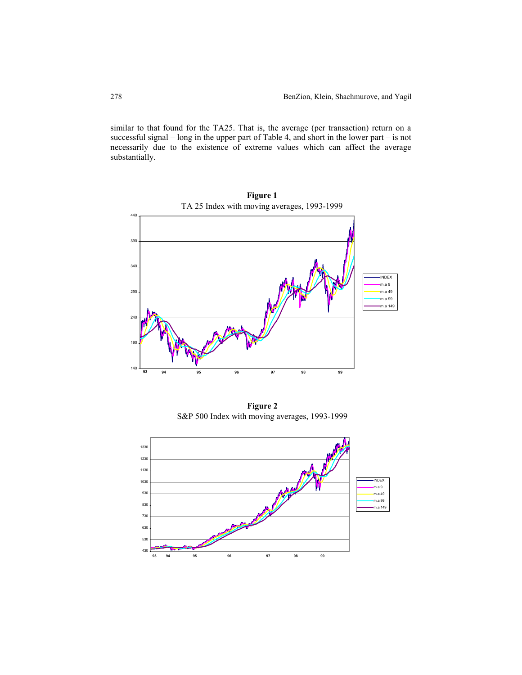similar to that found for the TA25. That is, the average (per transaction) return on a successful signal – long in the upper part of Table 4, and short in the lower part – is not necessarily due to the existence of extreme values which can affect the average substantially.



**Figure 2** S&P 500 Index with moving averages, 1993-1999

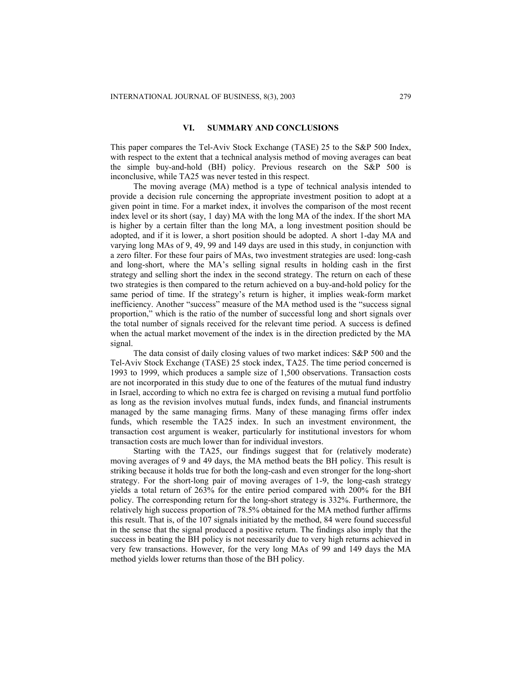# **VI. SUMMARY AND CONCLUSIONS**

This paper compares the Tel-Aviv Stock Exchange (TASE) 25 to the S&P 500 Index, with respect to the extent that a technical analysis method of moving averages can beat the simple buy-and-hold (BH) policy. Previous research on the S&P 500 is inconclusive, while TA25 was never tested in this respect.

The moving average (MA) method is a type of technical analysis intended to provide a decision rule concerning the appropriate investment position to adopt at a given point in time. For a market index, it involves the comparison of the most recent index level or its short (say, 1 day) MA with the long MA of the index. If the short MA is higher by a certain filter than the long MA, a long investment position should be adopted, and if it is lower, a short position should be adopted. A short 1-day MA and varying long MAs of 9, 49, 99 and 149 days are used in this study, in conjunction with a zero filter. For these four pairs of MAs, two investment strategies are used: long-cash and long-short, where the MA's selling signal results in holding cash in the first strategy and selling short the index in the second strategy. The return on each of these two strategies is then compared to the return achieved on a buy-and-hold policy for the same period of time. If the strategy's return is higher, it implies weak-form market inefficiency. Another "success" measure of the MA method used is the "success signal proportion," which is the ratio of the number of successful long and short signals over the total number of signals received for the relevant time period. A success is defined when the actual market movement of the index is in the direction predicted by the MA signal.

The data consist of daily closing values of two market indices: S&P 500 and the Tel-Aviv Stock Exchange (TASE) 25 stock index, TA25. The time period concerned is 1993 to 1999, which produces a sample size of 1,500 observations. Transaction costs are not incorporated in this study due to one of the features of the mutual fund industry in Israel, according to which no extra fee is charged on revising a mutual fund portfolio as long as the revision involves mutual funds, index funds, and financial instruments managed by the same managing firms. Many of these managing firms offer index funds, which resemble the TA25 index. In such an investment environment, the transaction cost argument is weaker, particularly for institutional investors for whom transaction costs are much lower than for individual investors.

Starting with the TA25, our findings suggest that for (relatively moderate) moving averages of 9 and 49 days, the MA method beats the BH policy. This result is striking because it holds true for both the long-cash and even stronger for the long-short strategy. For the short-long pair of moving averages of 1-9, the long-cash strategy yields a total return of 263% for the entire period compared with 200% for the BH policy. The corresponding return for the long-short strategy is 332%. Furthermore, the relatively high success proportion of 78.5% obtained for the MA method further affirms this result. That is, of the 107 signals initiated by the method, 84 were found successful in the sense that the signal produced a positive return. The findings also imply that the success in beating the BH policy is not necessarily due to very high returns achieved in very few transactions. However, for the very long MAs of 99 and 149 days the MA method yields lower returns than those of the BH policy.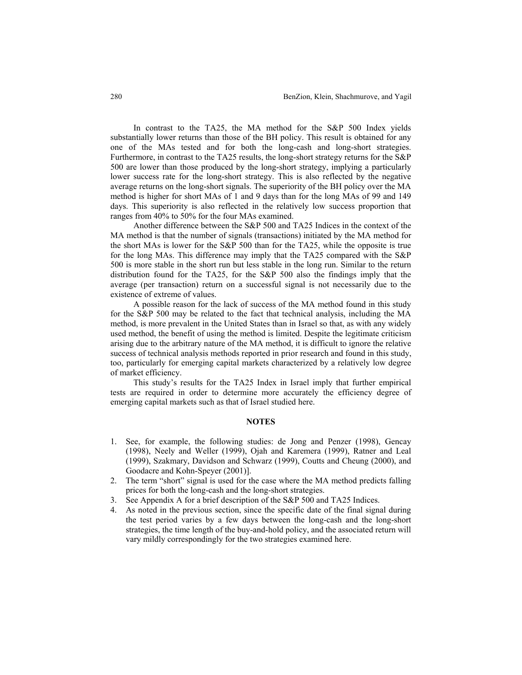In contrast to the TA25, the MA method for the S&P 500 Index yields substantially lower returns than those of the BH policy. This result is obtained for any one of the MAs tested and for both the long-cash and long-short strategies. Furthermore, in contrast to the TA25 results, the long-short strategy returns for the S&P 500 are lower than those produced by the long-short strategy, implying a particularly lower success rate for the long-short strategy. This is also reflected by the negative average returns on the long-short signals. The superiority of the BH policy over the MA method is higher for short MAs of 1 and 9 days than for the long MAs of 99 and 149 days. This superiority is also reflected in the relatively low success proportion that ranges from 40% to 50% for the four MAs examined.

Another difference between the S&P 500 and TA25 Indices in the context of the MA method is that the number of signals (transactions) initiated by the MA method for the short MAs is lower for the S&P 500 than for the TA25, while the opposite is true for the long MAs. This difference may imply that the TA25 compared with the S&P 500 is more stable in the short run but less stable in the long run. Similar to the return distribution found for the TA25, for the S&P 500 also the findings imply that the average (per transaction) return on a successful signal is not necessarily due to the existence of extreme of values.

A possible reason for the lack of success of the MA method found in this study for the S&P 500 may be related to the fact that technical analysis, including the MA method, is more prevalent in the United States than in Israel so that, as with any widely used method, the benefit of using the method is limited. Despite the legitimate criticism arising due to the arbitrary nature of the MA method, it is difficult to ignore the relative success of technical analysis methods reported in prior research and found in this study, too, particularly for emerging capital markets characterized by a relatively low degree of market efficiency.

This study's results for the TA25 Index in Israel imply that further empirical tests are required in order to determine more accurately the efficiency degree of emerging capital markets such as that of Israel studied here.

# **NOTES**

- 1. See, for example, the following studies: de Jong and Penzer (1998), Gencay (1998), Neely and Weller (1999), Ojah and Karemera (1999), Ratner and Leal (1999), Szakmary, Davidson and Schwarz (1999), Coutts and Cheung (2000), and Goodacre and Kohn-Speyer (2001)].
- 2. The term "short" signal is used for the case where the MA method predicts falling prices for both the long-cash and the long-short strategies.
- 3. See Appendix A for a brief description of the S&P 500 and TA25 Indices.
- 4. As noted in the previous section, since the specific date of the final signal during the test period varies by a few days between the long-cash and the long-short strategies, the time length of the buy-and-hold policy, and the associated return will vary mildly correspondingly for the two strategies examined here.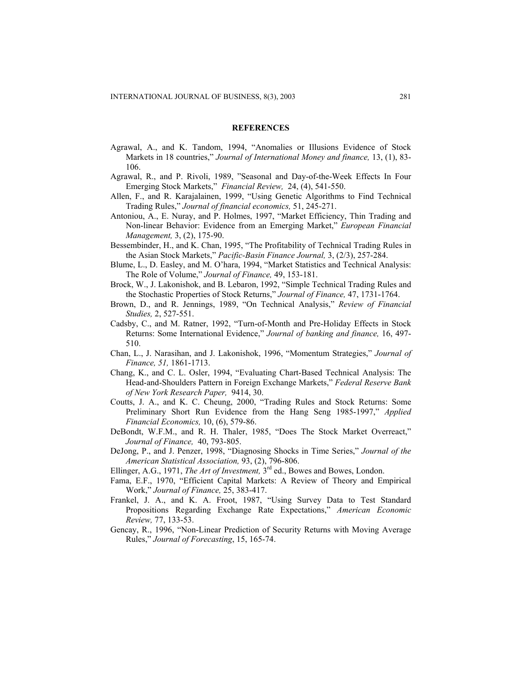#### **REFERENCES**

- Agrawal, A., and K. Tandom, 1994, "Anomalies or Illusions Evidence of Stock Markets in 18 countries," *Journal of International Money and finance,* 13, (1), 83- 106.
- Agrawal, R., and P. Rivoli, 1989, "Seasonal and Day-of-the-Week Effects In Four Emerging Stock Markets," *Financial Review,* 24, (4), 541-550.
- Allen, F., and R. Karajalainen, 1999, "Using Genetic Algorithms to Find Technical Trading Rules," *Journal of financial economics,* 51, 245-271.
- Antoniou, A., E. Nuray, and P. Holmes, 1997, "Market Efficiency, Thin Trading and Non-linear Behavior: Evidence from an Emerging Market," *European Financial Management,* 3, (2), 175-90.
- Bessembinder, H., and K. Chan, 1995, "The Profitability of Technical Trading Rules in the Asian Stock Markets," *Pacific-Basin Finance Journal,* 3, (2/3), 257-284.
- Blume, L., D. Easley, and M. O'hara, 1994, "Market Statistics and Technical Analysis: The Role of Volume," *Journal of Finance,* 49, 153-181.
- Brock, W., J. Lakonishok, and B. Lebaron, 1992, "Simple Technical Trading Rules and the Stochastic Properties of Stock Returns," *Journal of Finance,* 47, 1731-1764.
- Brown, D., and R. Jennings, 1989, "On Technical Analysis," *Review of Financial Studies,* 2, 527-551.
- Cadsby, C., and M. Ratner, 1992, "Turn-of-Month and Pre-Holiday Effects in Stock Returns: Some International Evidence," *Journal of banking and finance,* 16, 497- 510.
- Chan, L., J. Narasihan, and J. Lakonishok, 1996, "Momentum Strategies," *Journal of Finance, 51,* 1861-1713.
- Chang, K., and C. L. Osler, 1994, "Evaluating Chart-Based Technical Analysis: The Head-and-Shoulders Pattern in Foreign Exchange Markets," *Federal Reserve Bank of New York Research Paper,* 9414, 30.
- Coutts, J. A., and K. C. Cheung, 2000, "Trading Rules and Stock Returns: Some Preliminary Short Run Evidence from the Hang Seng 1985-1997," *Applied Financial Economics,* 10, (6), 579-86.
- DeBondt, W.F.M., and R. H. Thaler, 1985, "Does The Stock Market Overreact," *Journal of Finance,* 40, 793-805.
- DeJong, P., and J. Penzer, 1998, "Diagnosing Shocks in Time Series," *Journal of the American Statistical Association,* 93, (2), 796-806.
- Ellinger, A.G., 1971, *The Art of Investment,* 3rd ed., Bowes and Bowes, London.
- Fama, E.F., 1970, "Efficient Capital Markets: A Review of Theory and Empirical Work," *Journal of Finance,* 25, 383-417.
- Frankel, J. A., and K. A. Froot, 1987, "Using Survey Data to Test Standard Propositions Regarding Exchange Rate Expectations," *American Economic Review,* 77, 133-53.
- Gencay, R., 1996, "Non-Linear Prediction of Security Returns with Moving Average Rules," *Journal of Forecasting*, 15, 165-74.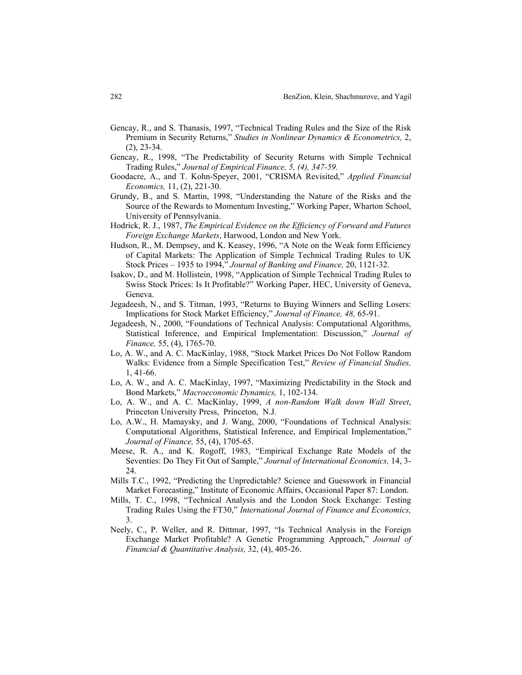- Gencay, R., and S. Thanasis, 1997, "Technical Trading Rules and the Size of the Risk Premium in Security Returns," *Studies in Nonlinear Dynamics & Econometrics,* 2, (2), 23-34.
- Gencay, R., 1998, "The Predictability of Security Returns with Simple Technical Trading Rules," *Journal of Empirical Finance, 5, (4), 347-59.*
- Goodacre, A., and T. Kohn-Speyer, 2001, "CRISMA Revisited," *Applied Financial Economics,* 11, (2), 221-30.
- Grundy, B., and S. Martin, 1998, "Understanding the Nature of the Risks and the Source of the Rewards to Momentum Investing," Working Paper, Wharton School, University of Pennsylvania.
- Hodrick, R. J., 1987, *The Empirical Evidence on the Efficiency of Forward and Futures Foreign Exchange Markets*, Harwood, London and New York.
- Hudson, R., M. Dempsey, and K. Keasey, 1996, "A Note on the Weak form Efficiency of Capital Markets: The Application of Simple Technical Trading Rules to UK Stock Prices – 1935 to 1994," *Journal of Banking and Finance,* 20, 1121-32.
- Isakov, D., and M. Hollistein, 1998, "Application of Simple Technical Trading Rules to Swiss Stock Prices: Is It Profitable?" Working Paper, HEC, University of Geneva, Geneva.
- Jegadeesh, N., and S. Titman, 1993, "Returns to Buying Winners and Selling Losers: Implications for Stock Market Efficiency," *Journal of Finance, 48,* 65-91.
- Jegadeesh, N., 2000, "Foundations of Technical Analysis: Computational Algorithms, Statistical Inference, and Empirical Implementation: Discussion," *Journal of Finance,* 55, (4), 1765-70.
- Lo, A. W., and A. C. MacKinlay, 1988, "Stock Market Prices Do Not Follow Random Walks: Evidence from a Simple Specification Test," *Review of Financial Studies,*  1, 41-66.
- Lo, A. W., and A. C. MacKinlay, 1997, "Maximizing Predictability in the Stock and Bond Markets," *Macroeconomic Dynamics,* 1, 102-134.
- Lo, A. W., and A. C. MacKinlay, 1999, *A non-Random Walk down Wall Street*, Princeton University Press, Princeton, N.J.
- Lo, A.W., H. Mamaysky, and J. Wang, 2000, "Foundations of Technical Analysis: Computational Algorithms, Statistical Inference, and Empirical Implementation," *Journal of Finance,* 55, (4), 1705-65.
- Meese, R. A., and K. Rogoff, 1983, "Empirical Exchange Rate Models of the Seventies: Do They Fit Out of Sample," *Journal of International Economics,* 14, 3- 24.
- Mills T.C., 1992, "Predicting the Unpredictable? Science and Guesswork in Financial Market Forecasting," Institute of Economic Affairs, Occasional Paper 87: London.
- Mills, T. C., 1998, "Technical Analysis and the London Stock Exchange: Testing Trading Rules Using the FT30," *International Journal of Finance and Economics,*  3.
- Neely, C., P. Weller, and R. Dittmar, 1997, "Is Technical Analysis in the Foreign Exchange Market Profitable? A Genetic Programming Approach," *Journal of Financial & Quantitative Analysis,* 32, (4), 405-26.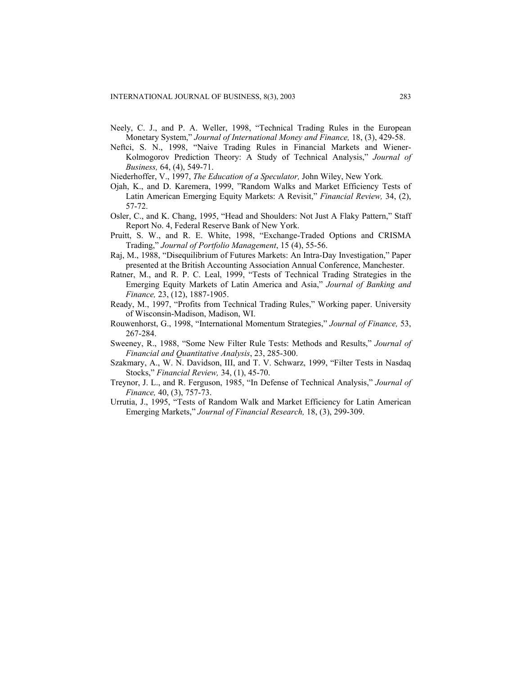- Neely, C. J., and P. A. Weller, 1998, "Technical Trading Rules in the European Monetary System," *Journal of International Money and Finance,* 18, (3), 429-58.
- Neftci, S. N., 1998, "Naive Trading Rules in Financial Markets and Wiener-Kolmogorov Prediction Theory: A Study of Technical Analysis," *Journal of Business,* 64, (4), 549-71.
- Niederhoffer, V., 1997, *The Education of a Speculator,* John Wiley, New York*.*
- Ojah, K., and D. Karemera, 1999, "Random Walks and Market Efficiency Tests of Latin American Emerging Equity Markets: A Revisit," *Financial Review,* 34, (2), 57-72.
- Osler, C., and K. Chang, 1995, "Head and Shoulders: Not Just A Flaky Pattern," Staff Report No. 4, Federal Reserve Bank of New York.
- Pruitt, S. W., and R. E. White, 1998, "Exchange-Traded Options and CRISMA Trading," *Journal of Portfolio Management*, 15 (4), 55-56.
- Raj, M., 1988, "Disequilibrium of Futures Markets: An Intra-Day Investigation," Paper presented at the British Accounting Association Annual Conference, Manchester.
- Ratner, M., and R. P. C. Leal, 1999, "Tests of Technical Trading Strategies in the Emerging Equity Markets of Latin America and Asia," *Journal of Banking and Finance,* 23, (12), 1887-1905.
- Ready, M., 1997, "Profits from Technical Trading Rules," Working paper. University of Wisconsin-Madison, Madison, WI.
- Rouwenhorst, G., 1998, "International Momentum Strategies," *Journal of Finance,* 53, 267-284.
- Sweeney, R., 1988, "Some New Filter Rule Tests: Methods and Results," *Journal of Financial and Quantitative Analysis*, 23, 285-300.
- Szakmary, A., W. N. Davidson, III, and T. V. Schwarz, 1999, "Filter Tests in Nasdaq Stocks," *Financial Review,* 34, (1), 45-70.
- Treynor, J. L., and R. Ferguson, 1985, "In Defense of Technical Analysis," *Journal of Finance,* 40, (3), 757-73.
- Urrutia, J., 1995, "Tests of Random Walk and Market Efficiency for Latin American Emerging Markets," *Journal of Financial Research,* 18, (3), 299-309.